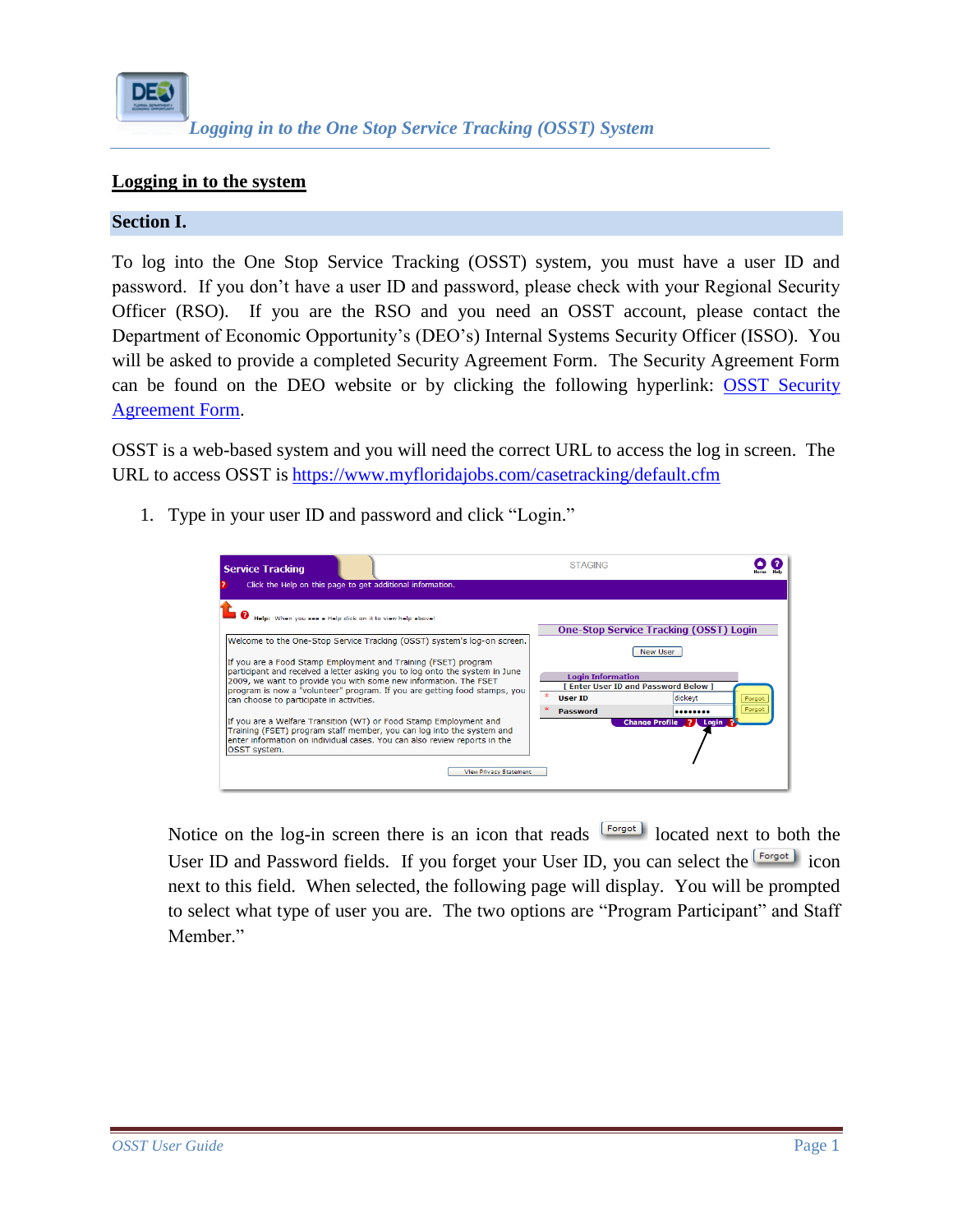

## **Logging in to the system**

## **Section I.**

To log into the One Stop Service Tracking (OSST) system, you must have a user ID and password. If you don't have a user ID and password, please check with your Regional Security Officer (RSO). If you are the RSO and you need an OSST account, please contact the Department of Economic Opportunity's (DEO's) Internal Systems Security Officer (ISSO). You will be asked to provide a completed Security Agreement Form. The Security Agreement Form can be found on the DEO website or by clicking the following hyperlink: [OSST Security](http://www.floridajobs.org/forms/ITForms/DEO_SAF.pdf)  [Agreement Form.](http://www.floridajobs.org/forms/ITForms/DEO_SAF.pdf)

OSST is a web-based system and you will need the correct URL to access the log in screen. The URL to access OSST is <https://www.myfloridajobs.com/casetracking/default.cfm>

1. Type in your user ID and password and click "Login."



Notice on the log-in screen there is an icon that reads  $\begin{bmatrix} \text{Forgot} \\ \text{Sorgot} \end{bmatrix}$  located next to both the User ID and Password fields. If you forget your User ID, you can select the **Forgot** icon next to this field. When selected, the following page will display. You will be prompted to select what type of user you are. The two options are "Program Participant" and Staff Member."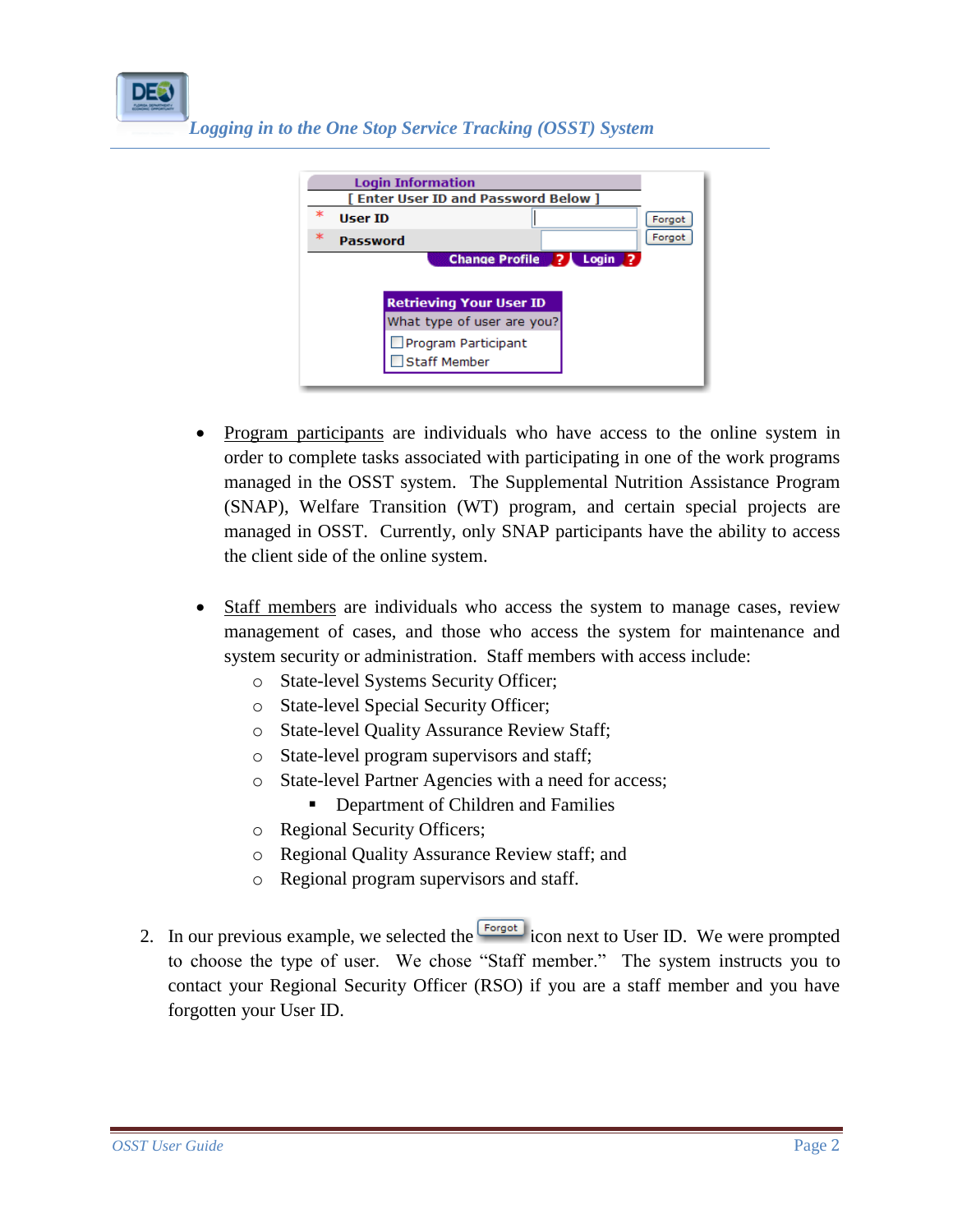*Logging in to the One Stop Service Tracking (OSST) System*



- Program participants are individuals who have access to the online system in order to complete tasks associated with participating in one of the work programs managed in the OSST system. The Supplemental Nutrition Assistance Program (SNAP), Welfare Transition (WT) program, and certain special projects are managed in OSST. Currently, only SNAP participants have the ability to access the client side of the online system.
- Staff members are individuals who access the system to manage cases, review management of cases, and those who access the system for maintenance and system security or administration. Staff members with access include:
	- o State-level Systems Security Officer;
	- o State-level Special Security Officer;
	- o State-level Quality Assurance Review Staff;
	- o State-level program supervisors and staff;
	- o State-level Partner Agencies with a need for access;
		- Department of Children and Families
	- o Regional Security Officers;
	- o Regional Quality Assurance Review staff; and
	- o Regional program supervisors and staff.
- 2. In our previous example, we selected the  $\frac{[Forgot]}{[Forgot]}$  icon next to User ID. We were prompted to choose the type of user. We chose "Staff member." The system instructs you to contact your Regional Security Officer (RSO) if you are a staff member and you have forgotten your User ID.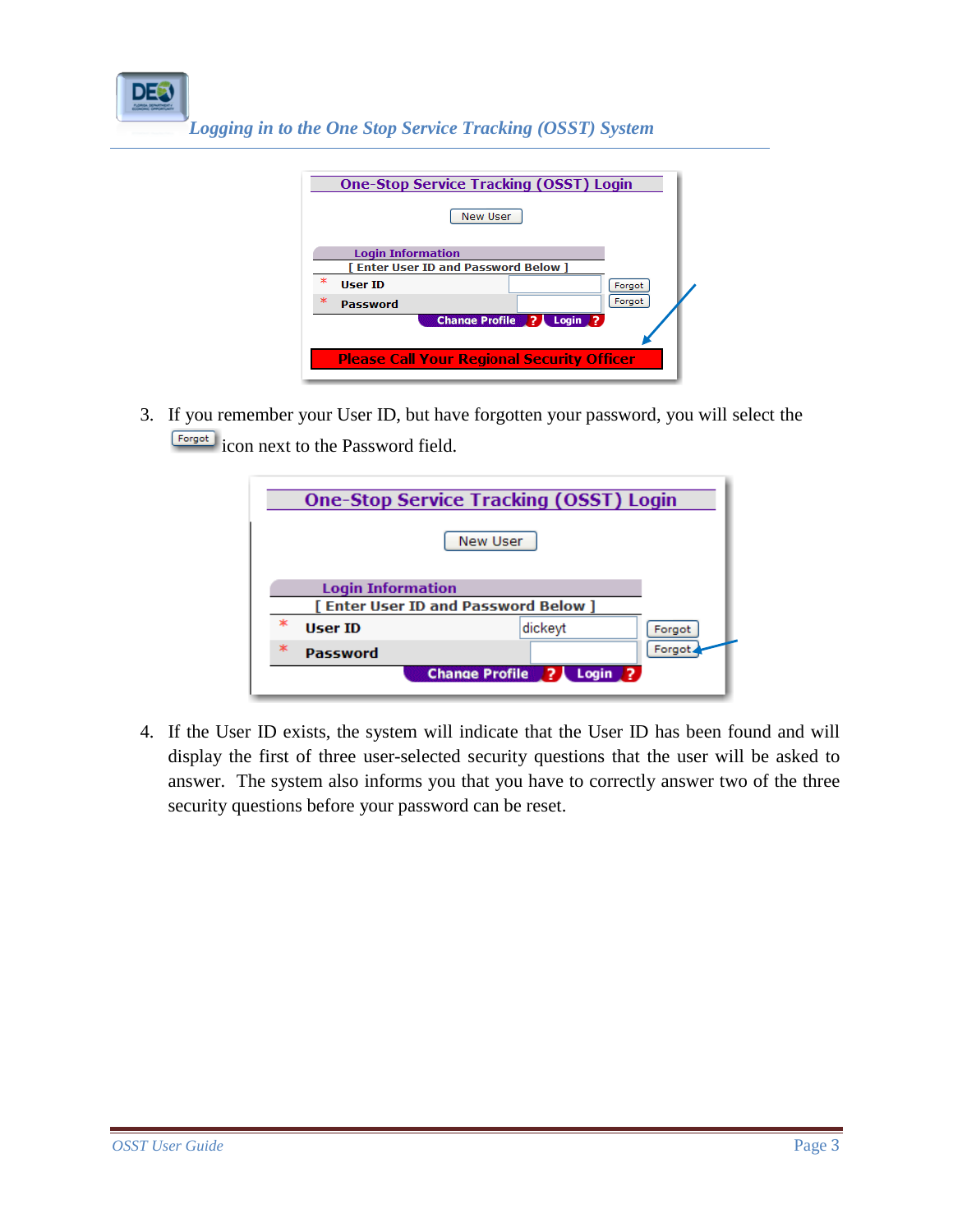*Logging in to the One Stop Service Tracking (OSST) System*

| <b>One-Stop Service Tracking (OSST) Login</b><br><b>New User</b> |  |  |  |  |  |
|------------------------------------------------------------------|--|--|--|--|--|
| <b>Login Information</b>                                         |  |  |  |  |  |
| <b>Fenter User ID and Password Below 1</b>                       |  |  |  |  |  |
| ж<br><b>User ID</b><br>Forgot                                    |  |  |  |  |  |
| $\ast$<br>Forgot<br>Password                                     |  |  |  |  |  |
| Change Profile ? Login ?                                         |  |  |  |  |  |
|                                                                  |  |  |  |  |  |
| <b>Please Call Your Regional Security Officer</b>                |  |  |  |  |  |

3. If you remember your User ID, but have forgotten your password, you will select the **Englering is condition** icon next to the Password field.

| <b>One-Stop Service Tracking (OSST) Login</b><br>New User |          |         |        |  |  |  |
|-----------------------------------------------------------|----------|---------|--------|--|--|--|
| <b>Login Information</b>                                  |          |         |        |  |  |  |
| [ Enter User ID and Password Below ]                      |          |         |        |  |  |  |
| $\ast$                                                    | User ID  | dickeyt | Forgot |  |  |  |
| ж                                                         | Password |         | Forgot |  |  |  |
| Change Profile ? Login ?                                  |          |         |        |  |  |  |

4. If the User ID exists, the system will indicate that the User ID has been found and will display the first of three user-selected security questions that the user will be asked to answer. The system also informs you that you have to correctly answer two of the three security questions before your password can be reset.

DE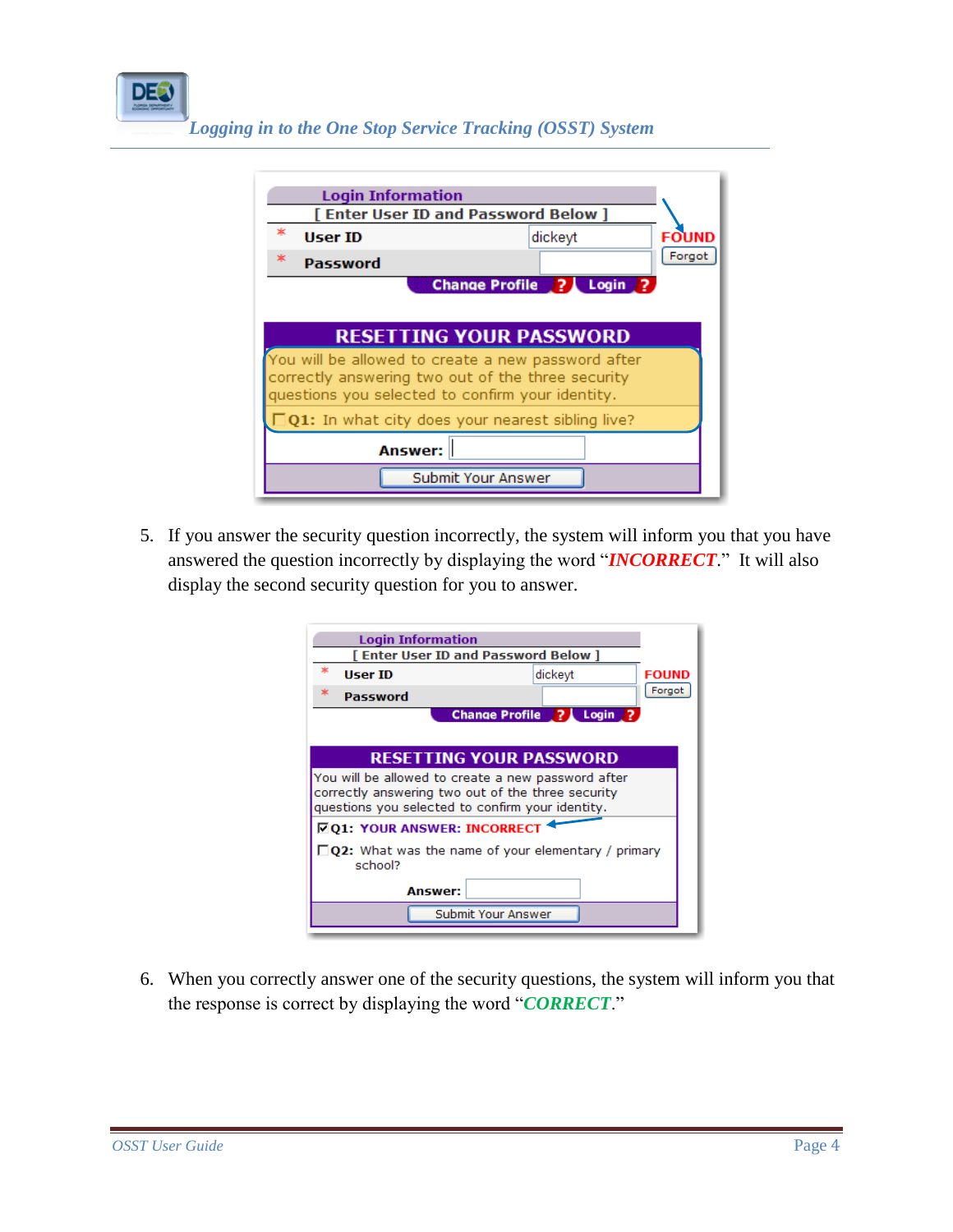



5. If you answer the security question incorrectly, the system will inform you that you have answered the question incorrectly by displaying the word "*INCORRECT*." It will also display the second security question for you to answer.

| [ Enter User ID and Password Below ]<br>ж<br><b>User ID</b><br>dickeyt<br><b>FOUND</b><br>Forgot<br>$*$<br>Password<br><b>Change Profile</b> ?<br>Login 2<br><b>RESETTING YOUR PASSWORD</b><br>You will be allowed to create a new password after<br>correctly answering two out of the three security<br>questions you selected to confirm your identity.<br><b>DQ1: YOUR ANSWER: INCORRECT</b><br>$\Box$ Q2: What was the name of your elementary / primary<br>school?<br><b>Answer:</b> | <b>Login Information</b> |  |  |  |  |  |
|--------------------------------------------------------------------------------------------------------------------------------------------------------------------------------------------------------------------------------------------------------------------------------------------------------------------------------------------------------------------------------------------------------------------------------------------------------------------------------------------|--------------------------|--|--|--|--|--|
|                                                                                                                                                                                                                                                                                                                                                                                                                                                                                            |                          |  |  |  |  |  |
|                                                                                                                                                                                                                                                                                                                                                                                                                                                                                            |                          |  |  |  |  |  |
|                                                                                                                                                                                                                                                                                                                                                                                                                                                                                            |                          |  |  |  |  |  |
|                                                                                                                                                                                                                                                                                                                                                                                                                                                                                            |                          |  |  |  |  |  |
|                                                                                                                                                                                                                                                                                                                                                                                                                                                                                            |                          |  |  |  |  |  |
|                                                                                                                                                                                                                                                                                                                                                                                                                                                                                            |                          |  |  |  |  |  |
|                                                                                                                                                                                                                                                                                                                                                                                                                                                                                            |                          |  |  |  |  |  |
|                                                                                                                                                                                                                                                                                                                                                                                                                                                                                            |                          |  |  |  |  |  |
|                                                                                                                                                                                                                                                                                                                                                                                                                                                                                            |                          |  |  |  |  |  |
|                                                                                                                                                                                                                                                                                                                                                                                                                                                                                            |                          |  |  |  |  |  |
| Submit Your Answer                                                                                                                                                                                                                                                                                                                                                                                                                                                                         |                          |  |  |  |  |  |

6. When you correctly answer one of the security questions, the system will inform you that the response is correct by displaying the word "*CORRECT*."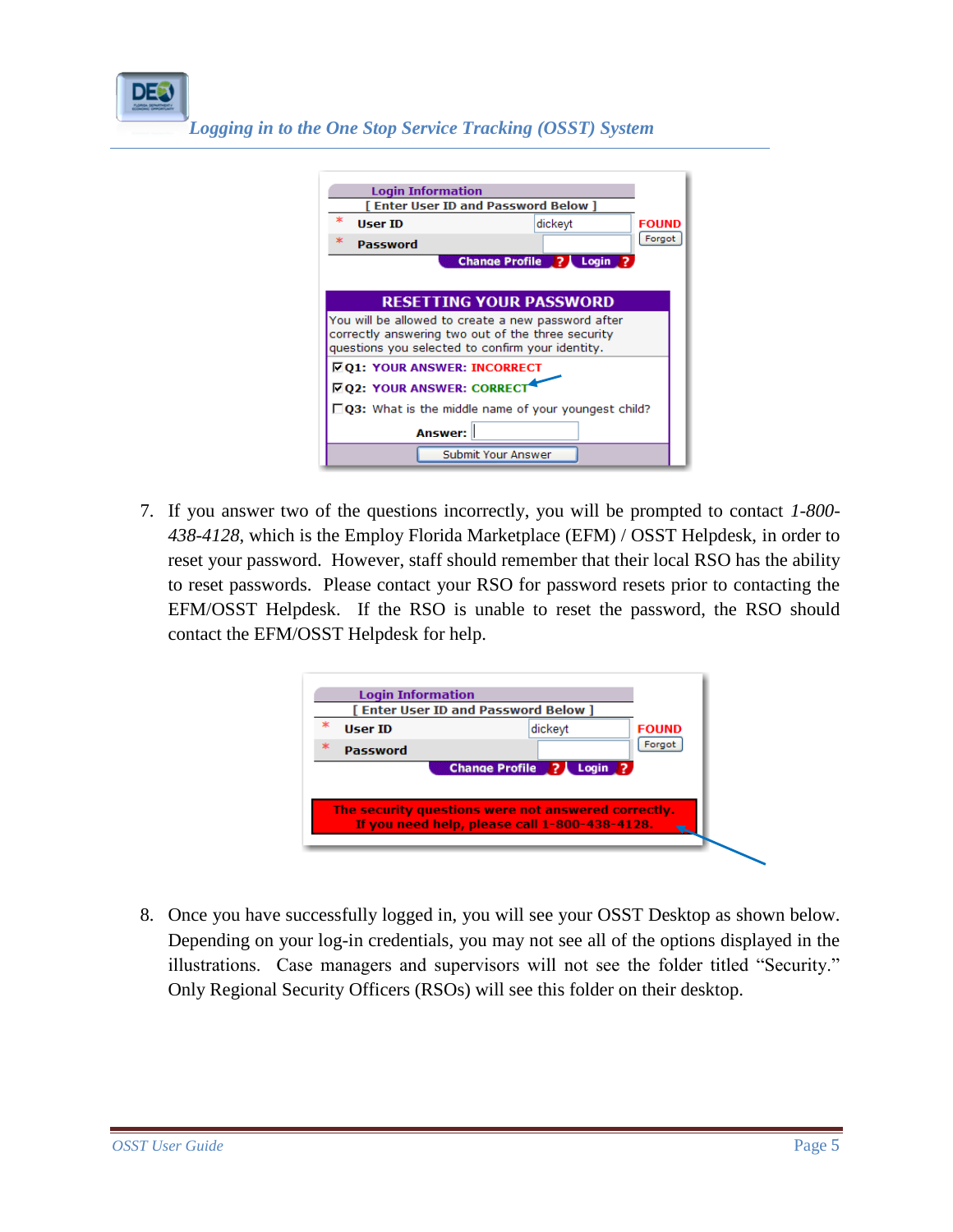*Logging in to the One Stop Service Tracking (OSST) System*

| <b>Login Information</b><br>[ Enter User ID and Password Below ]                                                                                            |                                      |              |  |  |  |
|-------------------------------------------------------------------------------------------------------------------------------------------------------------|--------------------------------------|--------------|--|--|--|
| ж<br><b>User ID</b>                                                                                                                                         | dickeyt                              | <b>FOUND</b> |  |  |  |
| Password                                                                                                                                                    |                                      | Forgot       |  |  |  |
|                                                                                                                                                             | Change Profile ?<br>Login $\sqrt{2}$ |              |  |  |  |
|                                                                                                                                                             |                                      |              |  |  |  |
| <b>RESETTING YOUR PASSWORD</b>                                                                                                                              |                                      |              |  |  |  |
| You will be allowed to create a new password after<br>correctly answering two out of the three security<br>questions you selected to confirm your identity. |                                      |              |  |  |  |
| <b>FO1: YOUR ANSWER: INCORRECT</b>                                                                                                                          |                                      |              |  |  |  |
| <b>ZQ2: YOUR ANSWER: CORRECT</b>                                                                                                                            |                                      |              |  |  |  |
| $\Box$ Q3: What is the middle name of your youngest child?                                                                                                  |                                      |              |  |  |  |
| <b>Answer:</b>                                                                                                                                              |                                      |              |  |  |  |
|                                                                                                                                                             | Submit Your Answer                   |              |  |  |  |

7. If you answer two of the questions incorrectly, you will be prompted to contact *1-800- 438-4128*, which is the Employ Florida Marketplace (EFM) / OSST Helpdesk, in order to reset your password. However, staff should remember that their local RSO has the ability to reset passwords. Please contact your RSO for password resets prior to contacting the EFM/OSST Helpdesk. If the RSO is unable to reset the password, the RSO should contact the EFM/OSST Helpdesk for help.



8. Once you have successfully logged in, you will see your OSST Desktop as shown below. Depending on your log-in credentials, you may not see all of the options displayed in the illustrations. Case managers and supervisors will not see the folder titled "Security." Only Regional Security Officers (RSOs) will see this folder on their desktop.